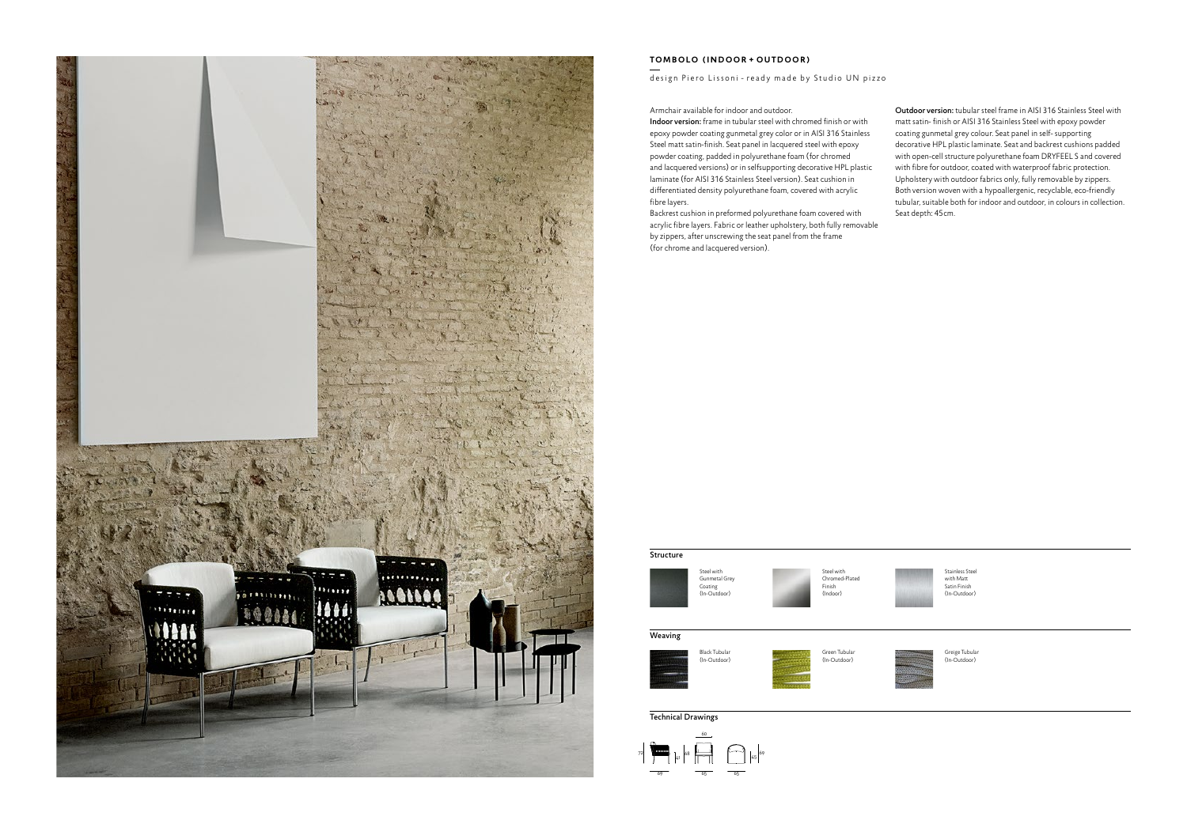

## **TOMBOLO (INDOOR + OUTDOOR)**

## design Piero Lissoni - ready made by Studio UN pizzo

## Armchair available for indoor and outdoor.

Indoor version: frame in tubular steel with chromed finish or with epoxy powder coating gunmetal grey color or in AISI 316 Stainless Steel matt satin-finish. Seat panel in lacquered steel with epoxy powder coating, padded in polyurethane foam (for chromed and lacquered versions) or in selfsupporting decorative HPL plastic laminate (for AISI 316 Stainless Steel version). Seat cushion in differentiated density polyurethane foam, covered with acrylic fibre layers.

Backrest cushion in preformed polyurethane foam covered with acrylic fibre layers. Fabric or leather upholstery, both fully removable by zippers, after unscrewing the seat panel from the frame (for chrome and lacquered version).

Outdoor version: tubular steel frame in AISI 316 Stainless Steel with matt satin- finish or AISI 316 Stainless Steel with epoxy powder coating gunmetal grey colour. Seat panel in self- supporting decorative HPL plastic laminate. Seat and backrest cushions padded with open-cell structure polyurethane foam DRYFEEL S and covered with fibre for outdoor, coated with waterproof fabric protection. Upholstery with outdoor fabrics only, fully removable by zippers. Both version woven with a hypoallergenic, recyclable, eco-friendly tubular, suitable both for indoor and outdoor, in colours in collection. Seat depth: 45cm.





Steel with Chromed-Plated Finish (Indoor)

## Technical Drawings





Stainless Steel with Matt Satin Finish (In-Outdoor)



Greige Tubular (In-Outdoor)